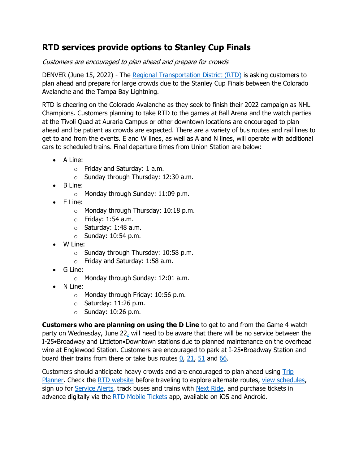## **RTD services provide options to Stanley Cup Finals**

## Customers are encouraged to plan ahead and prepare for crowds

DENVER (June 15, 2022) - The [Regional Transportation District \(RTD\)](http://rtdden.co/) is asking customers to plan ahead and prepare for large crowds due to the Stanley Cup Finals between the Colorado Avalanche and the Tampa Bay Lightning.

RTD is cheering on the Colorado Avalanche as they seek to finish their 2022 campaign as NHL Champions. Customers planning to take RTD to the games at Ball Arena and the watch parties at the Tivoli Quad at Auraria Campus or other downtown locations are encouraged to plan ahead and be patient as crowds are expected. There are a variety of bus routes and rail lines to get to and from the events. E and W lines, as well as A and N lines, will operate with additional cars to scheduled trains. Final departure times from Union Station are below:

- A Line:
	- o Friday and Saturday: 1 a.m.
	- o Sunday through Thursday: 12:30 a.m.
- B Line:
	- o Monday through Sunday: 11:09 p.m.
- E Line:
	- o Monday through Thursday: 10:18 p.m.
	- $\circ$  Friday: 1:54 a.m.
	- $\circ$  Saturday: 1:48 a.m.
	- $\circ$  Sunday: 10:54 p.m.
- W Line:
	- o Sunday through Thursday: 10:58 p.m.
	- o Friday and Saturday: 1:58 a.m.
- G Line:
	- o Monday through Sunday: 12:01 a.m.
- N Line:
	- o Monday through Friday: 10:56 p.m.
	- $\circ$  Saturday: 11:26 p.m.
	- $\circ$  Sunday: 10:26 p.m.

**Customers who are planning on using the D Line** to get to and from the Game 4 watch party on Wednesday, June 22, will need to be aware that there will be no service between the I-25•Broadway and Littleton•Downtown stations due to planned maintenance on the overhead wire at Englewood Station. Customers are encouraged to park at I-25•Broadway Station and board their trains from there or take bus routes  $0$ , [21,](https://www.rtd-denver.com/app/route/21/schedule) [51](https://www.rtd-denver.com/app/route/51/schedule) and [66.](https://www.rtd-denver.com/app/route/66/schedule)

Customers should anticipate heavy crowds and are encouraged to plan ahead using [Trip](http://rtdden.co/plan)  [Planner.](http://rtdden.co/plan) Check the [RTD website](http://rtdden.co/) before traveling to explore alternate routes, [view schedules,](http://rtdden.co/schedules) sign up for [Service Alerts,](http://rtdden.co/alerts) track buses and trains with [Next Ride,](http://rtdden.co/nextride) and purchase tickets in advance digitally via the [RTD Mobile Tickets](https://www.rtd-denver.com/fares-passes/mobile-ticketing) app, available on iOS and Android.